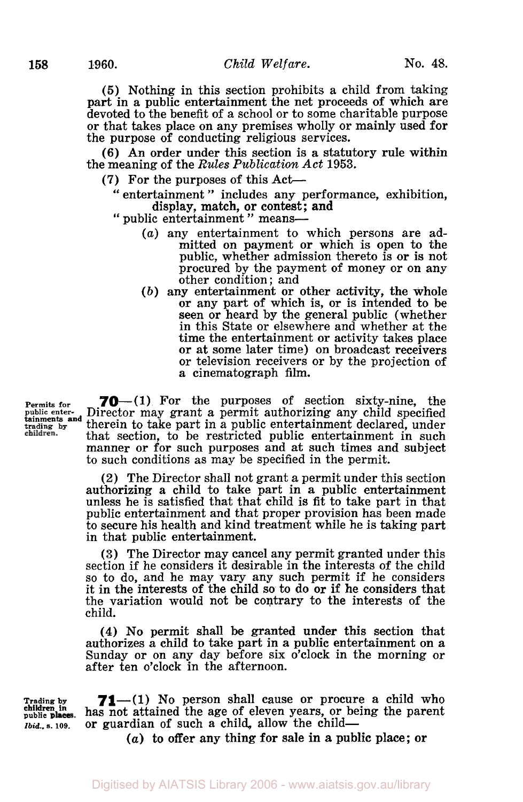*(5)* Nothing in this section prohibits a child from taking part in a public entertainment the net proceeds of which are devoted to the benefit of a school or to some charitable purpose or that takes place on any premises wholly or mainly used for the purpose of conducting religious services.

**(6)** An order under this section is a statutory rule within the meaning of the *Rules Publication Act* **1953.** 

- (7) For the purposes of this Act-
	- " entertainment " includes any performance, exhibition, display, match, or contest; and
	- " public entertainment " means-
		- *(a)* any entertainment to which persons are admitted on payment or which is open to the public, whether admission thereto is or is not procured by the payment of money or on any other condition ; and
		- *(b)* any entertainment or other activity, the whole or any part of which is, or is intended to be seen or heard by the general public (whether in this State or elsewhere and whether at the time the entertainment or activity takes place or at some later time) on broadcast receivers or television receivers or by the projection of a cinematograph film.

**Permits for 70**-(1) For the purposes of section sixty-nine, the public enter-<br>*public enter-* Director may grant a permit authorizing any child specified **tainments and therein to take part in a public entertainment declared, under**<br>the entiment that section to be restricted public entertainment in such that section, to be restricted public entertainment in such manner or for such purposes and at such times and subject to such conditions as may be specified in the permit. **tainments and** 

> (2) The Director shall not grant a permit under this section authorizing a child to take part in a public entertainment unless he is satisfied that that child is fit to take part in that public entertainment and that proper provision has been made to secure his health and kind treatment while he is taking part in that public entertainment.

> **(3)** The Director may cancel any permit granted under this section if he considers it desirable in the interests of the child so to do, and he may vary any such permit if he considers it in the interests of the child so to **do** or if he considers that the variation would not be contrary to the interests of the child.

> **(4) No** permit shall be granted under this section that authorizes a child to take part in a public entertainment on a Sunday or on any day before six o'clock in the morning or after ten o'clock in the afternoon.

**Trading by public children in**  *Ibid..* **S. 109.** 

**71**—(1) No person shall cause or procure a child who has not attained the age of eleven years, or being the parent or guardian of such a child, allow the child-

*(a)* to offer any thing for sale in a public place; or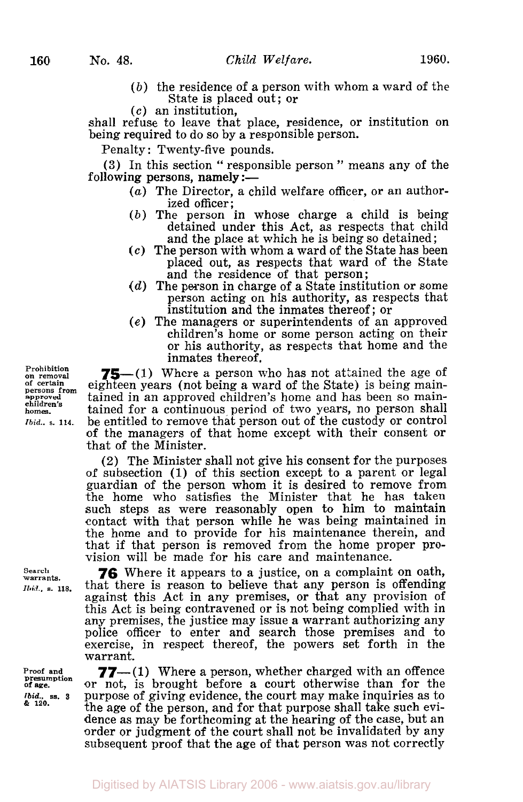- 
- *(b)* the residence of a person with whom a ward of the State is placed out; or
- *(c)* an institution,

shall refuse to leave that place, residence, **or** institution on being required to do so by a responsible person.

Penalty: Twenty-five pounds.

**(3)** In this section " responsible person " means any of the following persons, namely  $:=$ 

- *(a)* The Director, a child welfare officer, **or** an authorized officer ;
- *(b)* The person in whose charge a child is being detained under this Act, as respects that child and the place at which he is being so detained ;
- *(c)* The person with whom a ward of the State has been placed out, as respects that ward of the State and the residence of that person;
- *(d)* The person in charge of a State institution or some person acting on his authority, as respects that institution and the inmates thereof; or
- *(e)* The managers or superintendents of an approved children's home or some person acting on their **or** his authority, as respects that home and the inmates thereof.

**75**—(1) Where a person who has not attained the age of eighteen years (not being a ward of the State) is being maintained in an approved children's home and has been so maintained for a continuous, period of two years, no person shall be entitled to remove that person out of the custody or control of the managers of that home except with their consent **or**  that of the Minister.

(2) The Minister shall not give his consent for the purposes of subsection **(1)** of this section except to a parent or legal guardian of the person whom it is desired to remove from the home who satisfies the Minister that he has taken such steps as were reasonably open to him to maintain contact with that person while he was being maintained in the home and to provide for his maintenance therein, and that if that person is removed from the home proper provision will be made for his care and maintenance.

*76* Where it appears to a justice, on a complaint on oath, that there is reason to believe that any person is offending against this Act in any premises, or that any provision of this Act is being contravened or is not being complied with in any premises, the justice may issue a warrant authorizing any police officer to enter and search those premises and to exercise, in respect thereof, the powers set forth in the warrant.

**77**—(1) Where a person, whether charged with an offence or not, is brought before a court otherwise than for the purpose of giving evidence, the court may make inquiries as to the age of the person, and for that purpose shall take such evidence as may be forthcoming at the hearing of the case, but an order or judgment of the court shall not be invalidated by any subsequent proof that the age of that person was not correctly

**Prohibition**  on removal<br>of certain **approved children's homes.**  *Ibid..* **s. 114.** 

**Search warrants.**  *Ibid.*, s. 118.

**Proof and Presumption of age.**  *Ibid.,* **ss. 3**  & *120.*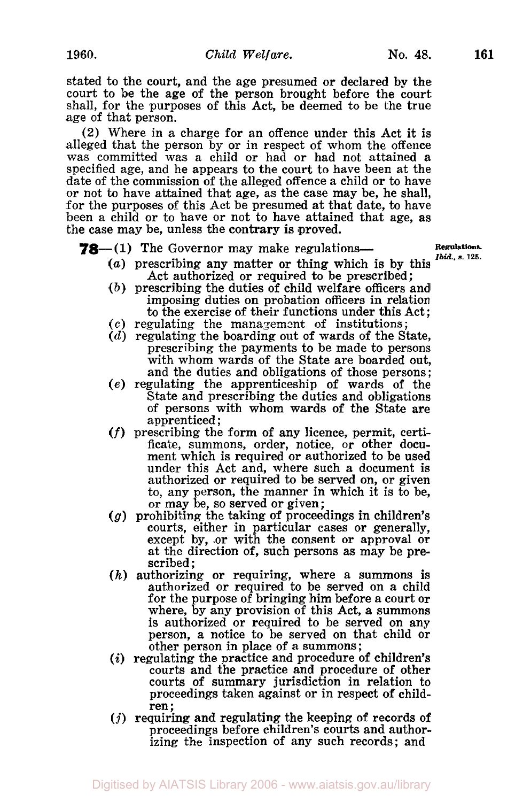stated to the court, and the age presumed or declared by the court to be the age of the person brought before the court shall, for the purposes of this Act, be deemed to be the true age of that person.

**(2)** Where in a charge for an offence under this Act it is alleged that the person by or in respect of whom the offence was committed was a child or had **or** had not attained a specified age, and he appears to the court to have been at the date of the commission of the alleged offence a child or to have or not to have attained that age, as the case may be, he shall, for the purposes of this Act be presumed at that date, to have been **a** child or to have **or** not to have attained that age, as the case may be, unless the contrary is proved.

**78**—(1) The Governor may make regulations- **Regulations.** 

- *(a)* prescribing any matter or thing which is by this Act authorized or required to be prescribed;
- *(b)* prescribing the duties of child welfare officers and imposing duties on probation officers in relation to the exercise of their functions under this Act ;
- to the exercise of their functions under this Acceptual the management of institutions;
- *(d)* regulating the boarding out of wards of the State, prescribing the payments to be made to persons with whom wards of the State are boarded out, and the duties and obligations of those persons ;
- *(e)* regulating the apprenticeship **of** wards of the State and prescribing the duties and obligations of persons with whom wards of the State are apprenticed:
- *(f)* prescribing the form of any licence, permit, certificate, summons, order, notice, or other document which is required or authorized to be used under this Act and, where such a document is authorized or required to be served on, or given to, any person, the manner in which it is to be, or may be, so served **or** given ;
- *(g)* prohibiting the taking of proceedings in children's courts, either in particular cases or generally, except by, .or with the consent or approval **or**  at the direction of, such persons as may be prescribed ;
- *(h)* authorizing or requiring, where a summons is authorized or required to be served on a child for the purpose of bringing him before a court or where, by any provision of this Act, a summons is authorized or required to be served on any person, a notice to be served on that child or other person in place of a summons ;
- *(i)* regulating the practice and procedure of children's courts and the practice and procedure of other courts of summary jurisdiction in relation to proceedings taken against or in respect of child-<br>ren; *(j)* requiring and regulating the keeping of records of
- proceedings before children's courts and authorizing the inspection of any such records; and

*Ibid., s.* **125.**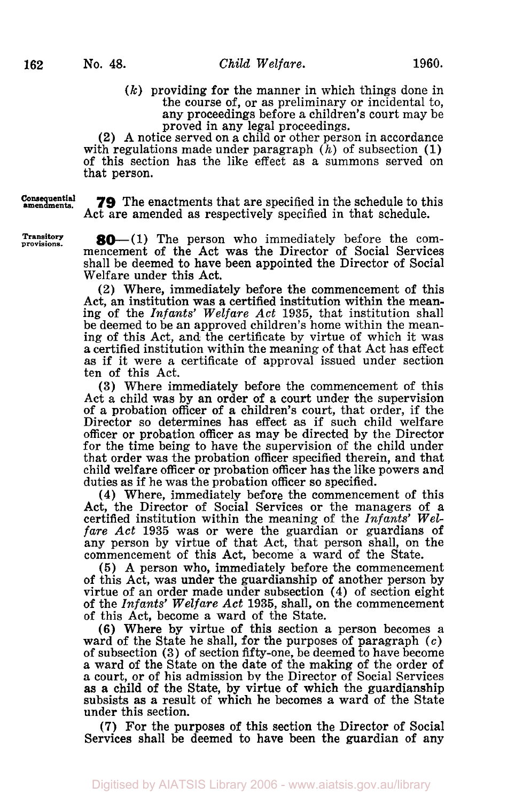*(k)* providing for the manner in which things done in the course of, or as preliminary or incidental to, any proceedings before a children's court may be proved in any legal proceedings.

**(2)** A notice served on a child or other person in accordance with regulations made under paragraph  $(h)$  of subsection (1) of this section has the like effect as a summons served on that person.

Consequential **amendments.** 

provisions.

Transitory

**79** The enactments that are specified in the schedule to this Act are amended as respectively specified in that schedule.

 $80-(1)$  The person who immediately before the commencement **of** the Act was the Director of Social Services shall be deemed to have been appointed the Director of Social Welfare under this Act.

**(2)** Where, immediately before the commencement of this Act, an institution was a certified institution within the meaning of the *Infants' Welfare Act* **1935,** that institution shall be deemed to be an approved children's home within the meaning of this Act, and the certificate by virtue of which it was a certified institution within the meaning of that Act has effect as if it were a certificate of approval issued under section ten of this Act.

**(3)** Where immediately before the commencement of this of a probation officer of a children's court, that order, if the Director so determines has effect as if such child welfare officer or probation officer as may be directed by the Director for the time being to have the supervision of the child under that order was the probation officer specified therein, and that child welfare officer or probation officer has the like powers and duties as if he was the probation officer so specified.

**(4)** Where, immediately before the commencement of this Act, the Director of Social Services or the managers of a certified institution within the meaning of the *Infants' Welfare Act* **1935** was or were the guardian or guardians of any person by virtue of that Act, that person shall, on the commencement of this Act, become a ward of the State.

**(5)** A person who, immediately before the commencement **of** this Act, was under the guardianship of another person by virtue of an order made under subsection **(4)** of section eight of the *Infants' Welfare Act* 1935, shall, on the commencement of this Act, become a ward of the State.

(6) Where by virtue of this section a person becomes a ward of the State he shall, for the purposes of paragraph *(c)*  of subsection **(3)** of section fifty-one, be deemed to have become a ward of the State on the date of the making of the order of **a** court, or of his admission by the Director of Social Services as *a* child of the State, by virtue **of** which the guardianship subsists as a result of which he becomes a ward of the State under this section.

**(7)** For the purposes **of** this section the Director of Social Services shall be deemed to have been the guardian of any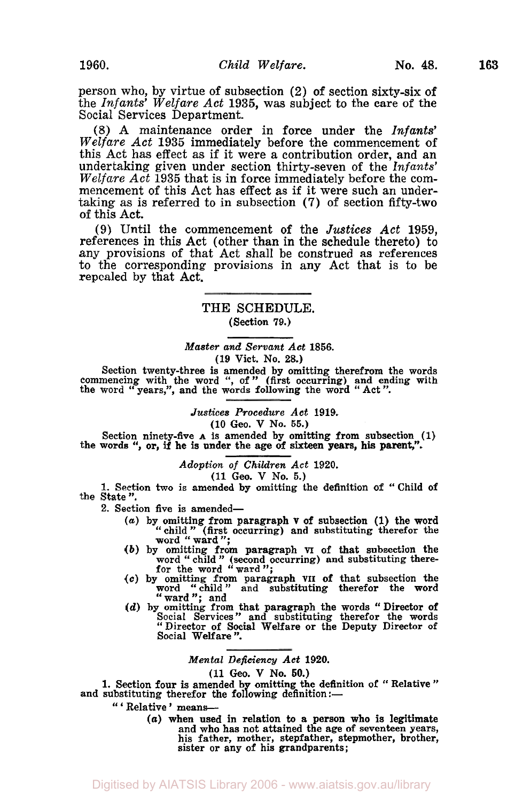person who, by virtue of subsection (2) of section sixty-six of the *Infants' Welfare Act* **1935,** was subject to the care of the Social Services Department.

(8) A maintenance order in force under the *Infants' Welfare Act* **1935** immediately before the commencement of this Act has effect as if it were a contribution order, and an undertaking given under section thirty-seven of the *Infants' Welfare Act* **1935** that is in force immediately before the commencement of this Act has effect as if it were such an undertaking as is referred to in subsection (7) of section fifty-two of this Act.

**(9)** Until the commencement of the *Justices Act* **1959,**  references in this Act (other than in the schedule thereto) to any provisions of that Act shall be construed as references to the corresponding provisions in any Act that is to be repealed by that Act.

> THE **SCHEDULE.**  (Section **79.)**

# *Master and Servant Act* **1856.**

**(19** Vict. **No. 28.)** 

Section twenty-three is amended by omitting therefrom the words commencing with the word ", of " (first occurring) and ending with the word "years,", and the words following the word "Act".

*Justices Procedure Act* **1919.** 

(10 Geo. V No. *55.)* 

Section ninety-five **A** is amended by omitting from subsection (1) the words ", or, if he is under the age of sixteen years, his parent,".

> *Adoption of Children Act* **1920. (11** Geo. V No. *5.)*

**1.** Section two is amended by omitting the definition of "Child of

the State". 2. Section five is amended-

- *(a)* by omitting from paragraph **v** of subsection **(1)** the word
- child" (first occurring) and substituting therefor the word ward". *(b)* by omitting from paragraph **VI** of that subsection the word '' child " (second occurring) and substituting there-for the word ward";
- *(c)* by omitting from paragraph **VII** of that subsection the word "child" and substituting therefor the word ward"; and
- ward"; and<br>
(d) by omitting from that paragraph the words " Director of **Social Services**" and substituting therefor the words "Director of Social Welfare or the Deputy Director of Social Welfare".

*Mental Deficiency Act* **1920.** 

**(11** *Geo.* **V No. 60.)** 

1. Section four is amended by omitting the definition of " Relative "<br>and substituting therefor the following definition :-

" 'Relative' means---<br>(a) when used in relation to a person who is legitimate and who has not attained the age of seventeen years, his father, mother, stepfather, stepmother, brother, sister or any of his grandparents;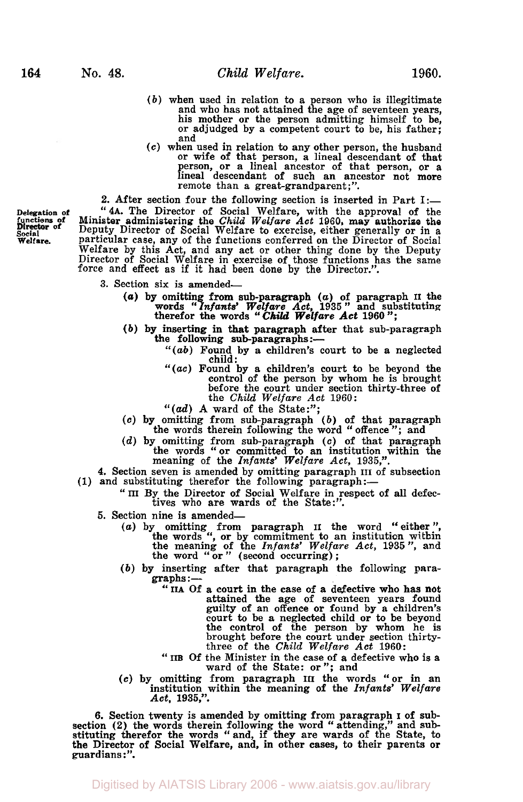- *(b)* when used in relation to a person who is illegitimate and who has not attained the age of seventeen years, his mother or the person admitting himself to be, or adjudged by a competent court to be, his father;
- and<br>(c) when used in relation to any other person, the husband *(c)* when used in relation to any other person, the husband or wife of that person, a lineal descendant of that person, or a lineal ancestor of that person, or a lineal descendant of such an ancestor not more remote than a great-grandparent;".

**2.** After section four the following section is inserted in Part **1:- Delegation of "4A.** The Director of Social Welfare, with the approval of the **functions of** Minister administering the *Child Welfare Act* **1960,** may authorize the Director of Deputy Director of Social Welfare to exercise, either generally or in a **Welfare. Particular case, any of the functions conferred on the Director of Social** Welfare by this Act, and any act or other thing done by the Deputy Director of Social Welfare in exercise of those functions has the same force and effect as if it had been done by the Director.".

- **3.** Section six is amended
	- words "Infants' Wherefor the words" *(U)* by omitting from sub-paragraph *(a)* of paragraph **II** the *Infants' Welfare Act,* **1935** " and substituting *Child Welfare Act* **1960** ";
	- (b) by inserting in that paragraph after that sub-paragraph the following sub-paragraphs:-
		- *"(ab)* Found by a children's court to be a neglected child :
		- *"(ac)* Found by a children's court to be beyond the control of the person by whom he is brought before the court under section thirty-three of the *Child Welfare Act* **1960:**
		- *"(ad)* A ward of the State:";
	- **(c)** by omitting from sub-paragraph *(b)* of that paragraph the words therein following the word '' offence "; and
	- *(d)* by omitting from sub-paragraph **(c)** of that paragraph the words "or committed to an institution within the meaning of the *Infants' Welfare Act,* **1935,".**

**4. Section seven is amended by omitting paragraph III of subsection (1) and substituting therefor the following paragraph:—** 

- (1) and substituting therefor the following paragraph:—<br>
" III By the Director of Social Welfare in respect of all defec-<br>
tives who are wards of the State:".
	- 5. Section nine is amended-
		- (a) by omitting from paragraph **II** the word "either", the words ", or by commitment to an institution within the meaning of the *Infants' Welfare Act*, **1935**", and the word "or" (second occurring);
		- (b) by inserting after that paragraph the following paragraphs :-
			- " IIA Of a court in the case of a defective who has not attained the age of seventeen years found guilty of an offence or found by a children's court to be a neglected child or to be beyond the control of the person by whom he is brought before the court under section thirtythree of the *Child Welfare Act* **1960:**
			- <sup>three</sup> of the Child Welfare Act 1960:<br> **IIB** Of the Minister in the case of a defective who is a ward of the State: or"; and
		- **(c)** by omitting from paragraph **III** the words "or in an institution,,within the meaning of the *Infants' Welfare Act, 1935,".*

**6.** Section twenty is amended by omitting from paragraph I of subsection (2) the words therein following the word "attending," and substituting therefor the words "and, if they are wards of the State, to the Director of Social Welfare, and, in other cases, to their parents or guardians: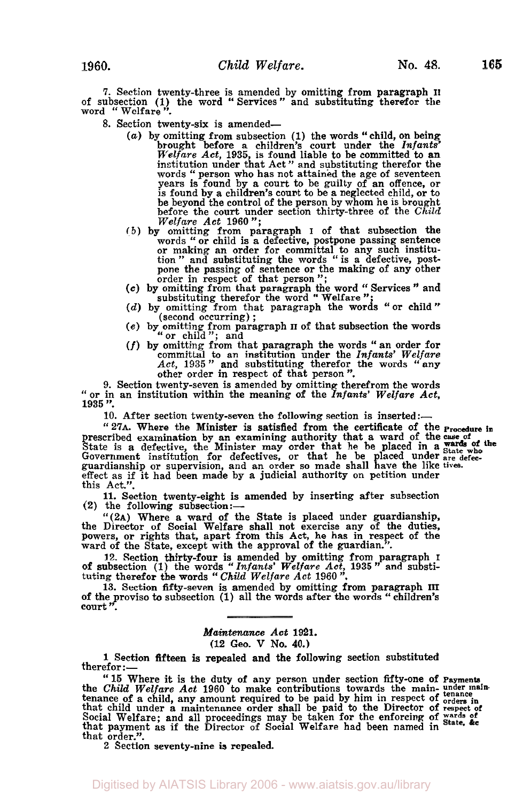7. Section twenty-three is amended by omitting from paragraph II of subsection (1) the word "Services" and substituting therefor the word "Welfare".<br>8. Section twenty-six is amended—

- 8. Section twenty-six is amended—<br>
(a) by omitting from subsection (1) the words "child, on being<br>
brought before a children's court under the *Infants*"<br> *Welfare Act*, 1935, is found liable to be committed to an<br>
instit words " person who has not attained the age of seventeen<br>years is found by a court to be guilty of an offence, or years is found by a court to be guilty of an offence, or is found by a children's court to be a neglected child, or to be beyond the control of the person by whom he is brought before the court under section thirty-three of the *Child Welfare Act* **1960";** 
	- **(b)** by omitting from paragraph I of that subsection the mitting Trom paragraph 1 of making and defective, postpone passing sentence or making an order for committal to any such institution  $\frac{m}{2}$  and substituting the words " is a defective, postpone the passing of sentence or the making of any other order in respect of that person  $''$ ;  $\cdots$  is  $\sigma$  and  $\sigma$ or making an order for committal to any such institu-<br>tion " and substituting the words " is a defective, post-<br>pone the passing of sentence or the making of any other<br>order in respect of that person";<br>(c) by omitting ther Following Trom paragraph 1 of that subsection<br>words "or child is a defective, postpone passing sent<br>or making an order for committal to any such ins<br>tion " and substituting the words " is a defective, I<br>pone the passing of
	-
	- *(d)* by omitting from that paragraph the words "or child" (second occurring) ;
	- *(e)* by omitting from paragraph **II** of that subsection the words "or child"; and  $(f)$  by omitting from that paragraph the words "an order for
- committed to an institution under the Infants' Welfare<br>  $Act$ , 1935" and substituting therefor the words "any<br>
other order in respect of that person".<br>
9. Section twenty-seven is amended by omitting therefrom the words

" or in an institution within the meaning of the *Infants' Welfare Act*,<br>1935".

10. After section twenty-seven the following section is inserted:-

**''27A.** Where the Minister is satisfied from the certificate of the **procedure in**  prescribed examination by an examining authority that a ward of the **case of**  Government institution for defectives, or that he be placed under are defecguardianship or supervision, and an order so made shall have the like **tives.**  effect as if it had been made by a judicial authority on petition under this Act.". State is a defective, the Minister may order that he be placed in a **wards** of the Caucameration of the Minister may order that he be placed under State who

**11.** Section twenty-eight is amended by inserting after subsection **(2)** the following subsection :-

**''(2A)** Where a ward of the State is placed under guardianship, the Director of Social Welfare shall not exercise any of the duties, powers, or rights that, apart from this Act, he has in respect of the ward of the State, except with the approval of the guardian."

12. Section thirty-four is amended by omitting from paragraph 1<br>of subsection (1) the words "Infants' Welfare Act, 1935" and substituting therefor the words "Child Welfare Act 1960".<br>13. Section fifty-seven is amended by o

13. Section fifty-seven is amended by omitting from paragraph III of the proviso to subsection (1) all the words after the words "children's court"

#### *Maintenance Act* **1921.**

**(12** Geo. **V No. 40.)** 

1 Section fifteen is repealed and the following section substituted therefor :—<br>—: therefor

"15 Where it is the duty of any person under section fifty-one of Payments<br>the *Child Welfare Act* 1960 to make contributions towards the main-under main-<br>tenance of a child, any amount required to be paid by him in respe that payment as if the Director of Social Welfare had been named in that order.".<br>2 Section seventy-nine is repealed.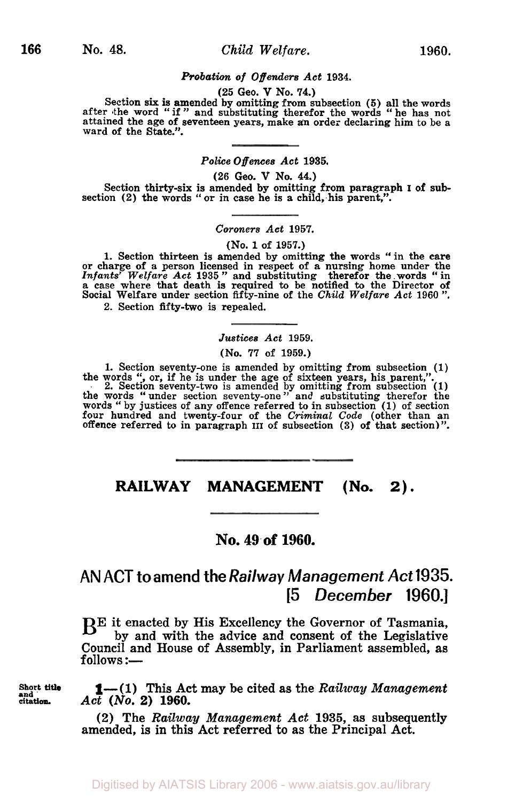#### *Probation of Offenders Act* **1934.**

## **(25** Geo. **V No. 74.)**

Section six is amended by omitting from subsection (5) all the words after the word "if" and substituting therefor the words "he has not attained the age of seventeen years, make an order declaring him to be a ward of the

### *Police Offences Act* **1935.**

**(26** Geo. **V No. 44.)** 

Section thirty-six is amended by omitting from paragraph I of subsection (2) the words "or in case he is a child, his parent,".

### *Coroners Act* **1957.**

#### **(No.** *1* of **1957.)**

1. Section thirteen is amended by omitting the words " in the care<br>or charge of a person licensed in respect of a nursing home under the<br>*Infants' Welfare Act* 1935 " and substituting therefor the words " in<br>a case where t Social Welfare under section fifty-nine of the *Child Welfare Act* **1960** , therefor the words **2.** Section fifty-two is repealed.

#### *Justices Act* **1959.**

**(No.** *77* of **1959.)** 

1. Section seventy-one is amended by omitting from subsection  $(1)$  the words ", or, if he is under the age of sixteen years, his parent,".<br>2. Section seventy-two is amended by omitting from subsection  $(1)$  the words " u

# **RAILWAY MANAGEMENT (No. 2).**

## **NO. 49.of 1960.**

# **AN ACT to amend the** *Railway Management Act* 1935. [5 *December* 1960.]

BE it enacted by His Excellency the Governor of Tasmania, by and with the advice and consent of the Legislative Council and House of Assembly, in Parliament assembled, as  $follows :=$ 

**end 1**—(1) This Act may be cited as the *Railway Management*  $\det_{\text{citation.}}$  *Act* (*No.* 2) 1960. **citation.** *Act (NO.* **2) 1960.** 

> (2) The *Railway Management* Act **1935,** as subsequently amended, is in this Act referred to as the Principal Act.